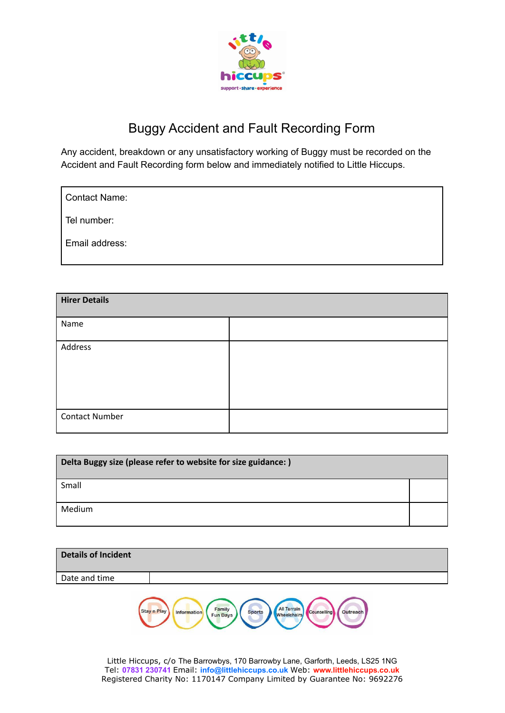

## Buggy Accident and Fault Recording Form

Any accident, breakdown or any unsatisfactory working of Buggy must be recorded on the Accident and Fault Recording form below and immediately notified to Little Hiccups.

Tel number:

Email address:

| <b>Hirer Details</b>  |  |
|-----------------------|--|
| Name                  |  |
| Address               |  |
|                       |  |
|                       |  |
| <b>Contact Number</b> |  |

| Delta Buggy size (please refer to website for size guidance:) |  |
|---------------------------------------------------------------|--|
| Small                                                         |  |
| Medium                                                        |  |

| <b>Details of Incident</b> |  |
|----------------------------|--|
| Date and time              |  |
|                            |  |

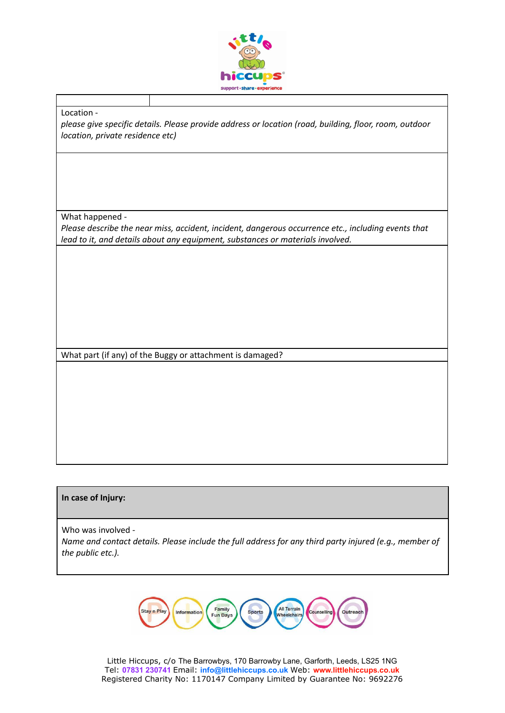

## Location -

*please give specific details. Please provide address or location (road, building, floor, room, outdoor location, private residence etc)*

What happened -

*Please describe the near miss, accident, incident, dangerous occurrence etc., including events that lead to it, and details about any equipment, substances or materials involved.*

What part (if any) of the Buggy or attachment is damaged?

## **In case of Injury:**

Who was involved -

*Name and contact details. Please include the full address for any third party injured (e.g., member of the public etc.).*

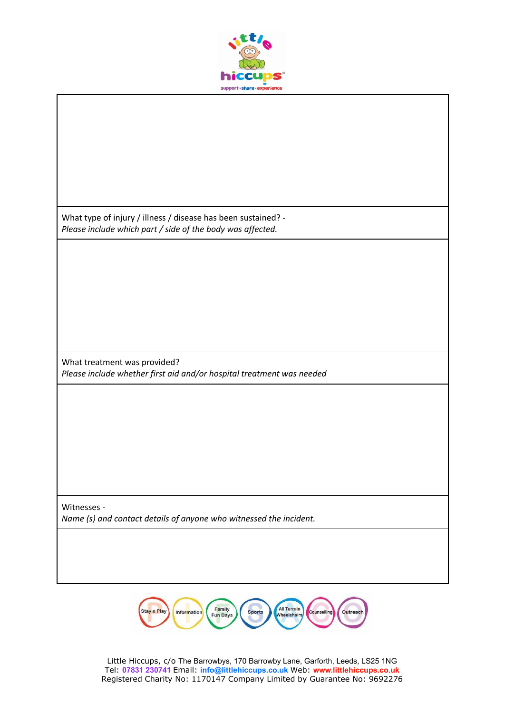

What type of injury / illness / disease has been sustained? - *Please include which part / side of the body was affected.*

What treatment was provided? *Please include whether first aid and/or hospital treatment was needed*

Witnesses - *Name (s) and contact details of anyone who witnessed the incident.*

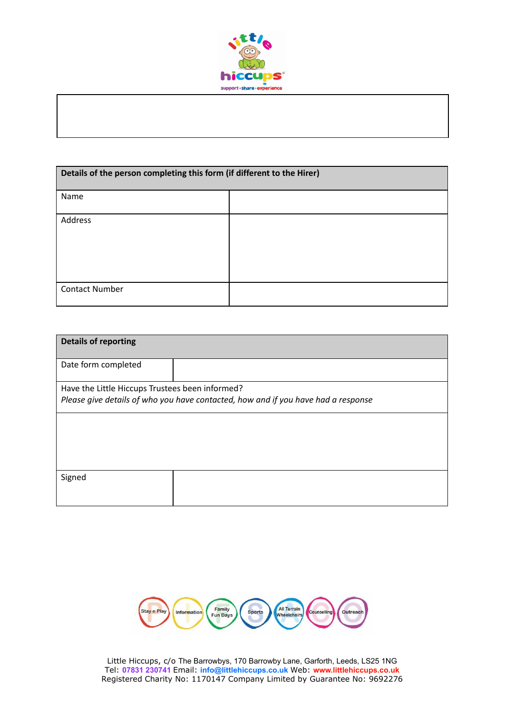

| Details of the person completing this form (if different to the Hirer) |  |
|------------------------------------------------------------------------|--|
| Name                                                                   |  |
| Address                                                                |  |
| <b>Contact Number</b>                                                  |  |

| <b>Details of reporting</b>                                                       |  |
|-----------------------------------------------------------------------------------|--|
| Date form completed                                                               |  |
| Have the Little Hiccups Trustees been informed?                                   |  |
| Please give details of who you have contacted, how and if you have had a response |  |
|                                                                                   |  |
|                                                                                   |  |
|                                                                                   |  |
| Signed                                                                            |  |
|                                                                                   |  |
|                                                                                   |  |

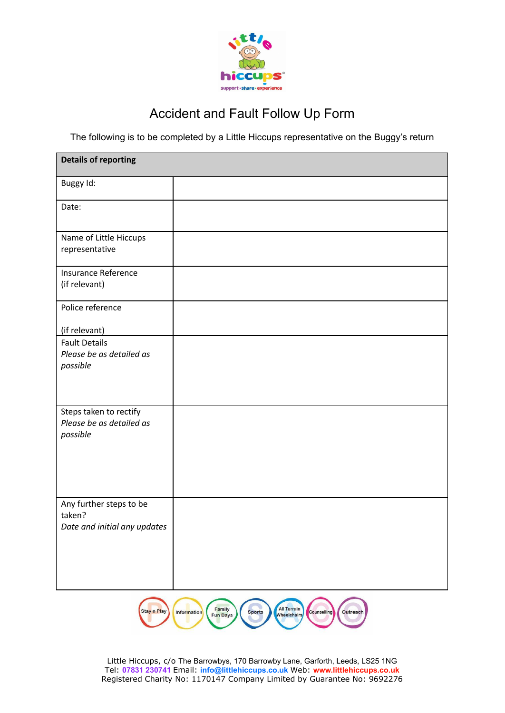

## Accident and Fault Follow Up Form

The following is to be completed by a Little Hiccups representative on the Buggy's return

| <b>Details of reporting</b>                                       |  |
|-------------------------------------------------------------------|--|
| Buggy Id:                                                         |  |
| Date:                                                             |  |
| Name of Little Hiccups<br>representative                          |  |
| Insurance Reference<br>(if relevant)                              |  |
| Police reference                                                  |  |
| (if relevant)                                                     |  |
| <b>Fault Details</b><br>Please be as detailed as<br>possible      |  |
| Steps taken to rectify<br>Please be as detailed as<br>possible    |  |
| Any further steps to be<br>taken?<br>Date and initial any updates |  |